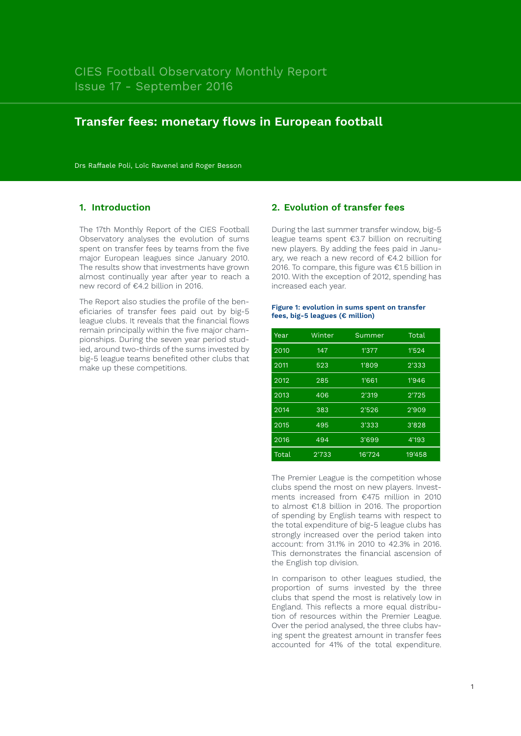# **Transfer fees: monetary flows in European football**

Drs Raffaele Poli, Loïc Ravenel and Roger Besson

# **1. Introduction**

The 17th Monthly Report of the CIES Football Observatory analyses the evolution of sums spent on transfer fees by teams from the five major European leagues since January 2010. The results show that investments have grown almost continually year after year to reach a new record of €4.2 billion in 2016.

The Report also studies the profile of the beneficiaries of transfer fees paid out by big-5 league clubs. It reveals that the financial flows remain principally within the five major championships. During the seven year period studied, around two-thirds of the sums invested by big-5 league teams benefited other clubs that make up these competitions.

# **2. Evolution of transfer fees**

During the last summer transfer window, big-5 league teams spent €3.7 billion on recruiting new players. By adding the fees paid in January, we reach a new record of €4.2 billion for 2016. To compare, this figure was €1.5 billion in 2010. With the exception of 2012, spending has increased each year.

### **Figure 1: evolution in sums spent on transfer fees, big-5 leagues (€ million)**

| Year  | Winter | Summer | Total  |  |
|-------|--------|--------|--------|--|
| 2010  | 147    | 1'377  | 1'524  |  |
| 2011  | 523    | 1'809  | 2'333  |  |
| 2012  | 285    | 1'661  | 1'946  |  |
| 2013  | 406    | 2'319  | 2'725  |  |
| 2014  | 383    | 2'526  | 2'909  |  |
| 2015  | 495    | 3'333  | 3'828  |  |
| 2016  | 494    | 3'699  | 4'193  |  |
| Total | 2'733  | 16'724 | 19'458 |  |

The Premier League is the competition whose clubs spend the most on new players. Investments increased from €475 million in 2010 to almost €1.8 billion in 2016. The proportion of spending by English teams with respect to the total expenditure of big-5 league clubs has strongly increased over the period taken into account: from 31.1% in 2010 to 42.3% in 2016. This demonstrates the financial ascension of the English top division.

In comparison to other leagues studied, the proportion of sums invested by the three clubs that spend the most is relatively low in England. This reflects a more equal distribution of resources within the Premier League. Over the period analysed, the three clubs having spent the greatest amount in transfer fees accounted for 41% of the total expenditure.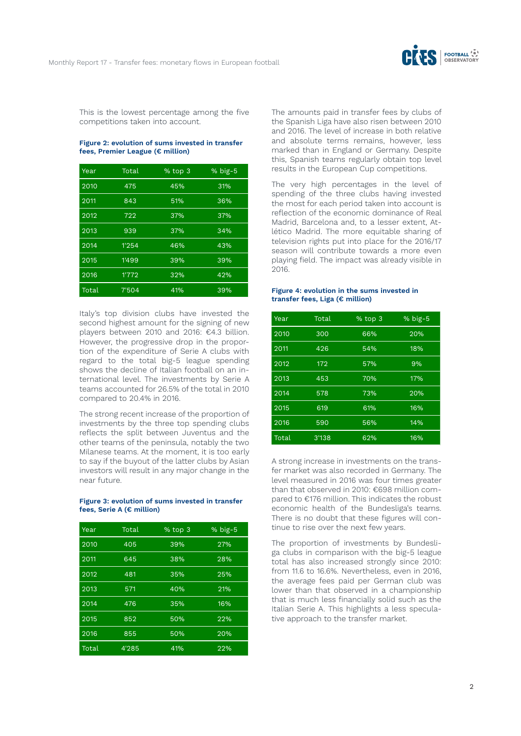

This is the lowest percentage among the five competitions taken into account.

### **Figure 2: evolution of sums invested in transfer fees, Premier League (€ million)**

| Year  | Total | % top 3 | $%$ big-5 |
|-------|-------|---------|-----------|
| 2010  | 475   | 45%     | 31%       |
| 2011  | 843   | 51%     | 36%       |
| 2012  | 722   | 37%     | 37%       |
| 2013  | 939   | 37%     | 34%       |
| 2014  | 1'254 | 46%     | 43%       |
| 2015  | 1'499 | 39%     | 39%       |
| 2016  | 1'772 | 32%     | 42%       |
| Total | 7'504 | 41%     | 39%       |

Italy's top division clubs have invested the second highest amount for the signing of new players between 2010 and 2016: €4.3 billion. However, the progressive drop in the proportion of the expenditure of Serie A clubs with regard to the total big-5 league spending shows the decline of Italian football on an international level. The investments by Serie A teams accounted for 26.5% of the total in 2010 compared to 20.4% in 2016.

The strong recent increase of the proportion of investments by the three top spending clubs reflects the split between Juventus and the other teams of the peninsula, notably the two Milanese teams. At the moment, it is too early to say if the buyout of the latter clubs by Asian investors will result in any major change in the near future.

#### **Figure 3: evolution of sums invested in transfer fees, Serie A (€ million)**

| Year  | Total | % top 3 | $%$ big-5 |
|-------|-------|---------|-----------|
| 2010  | 405   | 39%     | 27%       |
| 2011  | 645   | 38%     | 28%       |
| 2012  | 481   | 35%     | 25%       |
| 2013  | 571   | 40%     | 21%       |
| 2014  | 476   | 35%     | 16%       |
| 2015  | 852   | 50%     | 22%       |
| 2016  | 855   | 50%     | 20%       |
| Total | 4'285 | 41%     | 22%       |

The amounts paid in transfer fees by clubs of the Spanish Liga have also risen between 2010 and 2016. The level of increase in both relative and absolute terms remains, however, less marked than in England or Germany. Despite this, Spanish teams regularly obtain top level results in the European Cup competitions.

The very high percentages in the level of spending of the three clubs having invested the most for each period taken into account is reflection of the economic dominance of Real Madrid, Barcelona and, to a lesser extent, Atlético Madrid. The more equitable sharing of television rights put into place for the 2016/17 season will contribute towards a more even playing field. The impact was already visible in 2016.

## **Figure 4: evolution in the sums invested in transfer fees, Liga (€ million)**

| Year  | Total | % top 3 | $%$ big-5 |
|-------|-------|---------|-----------|
| 2010  | 300   | 66%     | 20%       |
| 2011  | 426   | 54%     | 18%       |
| 2012  | 172   | 57%     | 9%        |
| 2013  | 453   | 70%     | 17%       |
| 2014  | 578   | 73%     | 20%       |
| 2015  | 619   | 61%     | 16%       |
| 2016  | 590   | 56%     | 14%       |
| Total | 3'138 | 62%     | 16%       |

A strong increase in investments on the transfer market was also recorded in Germany. The level measured in 2016 was four times greater than that observed in 2010: €698 million compared to €176 million. This indicates the robust economic health of the Bundesliga's teams. There is no doubt that these figures will continue to rise over the next few years.

The proportion of investments by Bundesliga clubs in comparison with the big-5 league total has also increased strongly since 2010: from 11.6 to 16.6%. Nevertheless, even in 2016, the average fees paid per German club was lower than that observed in a championship that is much less financially solid such as the Italian Serie A. This highlights a less speculative approach to the transfer market.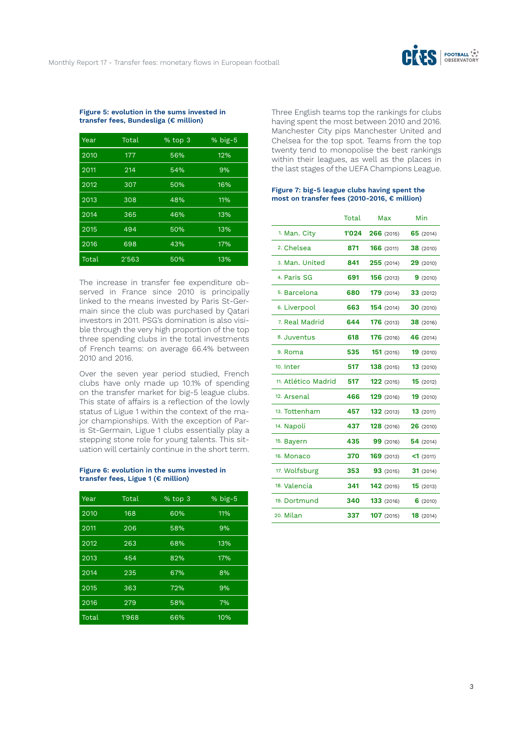

#### **Figure 5: evolution in the sums invested in transfer fees, Bundesliga (€ million)**

| Year  | Total | % top 3 | $%$ big-5 |
|-------|-------|---------|-----------|
| 2010  | 177   | 56%     | 12%       |
| 2011  | 214   | 54%     | 9%        |
| 2012  | 307   | 50%     | 16%       |
| 2013  | 308   | 48%     | 11%       |
| 2014  | 365   | 46%     | 13%       |
| 2015  | 494   | 50%     | 13%       |
| 2016  | 698   | 43%     | 17%       |
| Total | 2'563 | 50%     | 13%       |

The increase in transfer fee expenditure observed in France since 2010 is principally linked to the means invested by Paris St-Germain since the club was purchased by Qatari investors in 2011. PSG's domination is also visible through the very high proportion of the top three spending clubs in the total investments of French teams: on average 66.4% between 2010 and 2016.

Over the seven year period studied, French clubs have only made up 10.1% of spending on the transfer market for big-5 league clubs. This state of affairs is a reflection of the lowly status of Ligue 1 within the context of the major championships. With the exception of Paris St-Germain, Ligue 1 clubs essentially play a stepping stone role for young talents. This situation will certainly continue in the short term.

# **Figure 6: evolution in the sums invested in transfer fees, Ligue 1 (€ million)**

| Year  | Total | % top 3 | $%$ big-5 |
|-------|-------|---------|-----------|
| 2010  | 168   | 60%     | 11%       |
| 2011  | 206   | 58%     | 9%        |
| 2012  | 263   | 68%     | 13%       |
| 2013  | 454   | 82%     | 17%       |
| 2014  | 235   | 67%     | 8%        |
| 2015  | 363   | 72%     | 9%        |
| 2016  | 279   | 58%     | 7%        |
| Total | 1'968 | 66%     | 10%       |

Three English teams top the rankings for clubs having spent the most between 2010 and 2016. Manchester City pips Manchester United and Chelsea for the top spot. Teams from the top twenty tend to monopolise the best rankings within their leagues, as well as the places in the last stages of the UEFA Champions League.

#### **Figure 7: big-5 league clubs having spent the most on transfer fees (2010-2016, € million)**

|                     | Total | Max               | Min              |
|---------------------|-------|-------------------|------------------|
| 1. Man. City        | 1'024 | 266(2015)         | 65(2014)         |
| 2. Chelsea          | 871   | 166 (2011)        | 38 (2010)        |
| 3. Man. United      | 841   | 255(2014)         | 29(2010)         |
| 4. Paris SG         | 691   | <b>156</b> (2013) | 9(2010)          |
| 5. Barcelona        | 680   | <b>179</b> (2014) | 33(2012)         |
| 6. Liverpool        | 663   | 154 (2014)        | 30(2010)         |
| 7. Real Madrid      | 644   | 176 (2013)        | 38 (2016)        |
| 8. Juventus         | 618   | 176 (2016)        | <b>46</b> (2014) |
| 9. Roma             | 535   | 151(2015)         | 19(2010)         |
| 10. Inter           | 517   | 138 (2015)        | 13(2010)         |
| 11. Atlético Madrid | 517   | 122(2015)         | 15(2012)         |
| 12. Arsenal         | 466   | <b>129</b> (2016) | 19(2010)         |
| 13. Tottenham       | 457   | <b>132</b> (2013) | 13(2011)         |
| 14. Napoli          | 437   | 128 (2016)        | 26(2010)         |
| 15. Bayern          | 435   | 99 (2016)         | 54(2014)         |
| 16. Monaco          | 370   | 169 (2013)        | $<1$ (2011)      |
| 17. Wolfsburg       | 353   | 93(2015)          | 31(2014)         |
| 18. Valencia        | 341   | 142(2015)         | 15(2013)         |
| 19. Dortmund        | 340   | 133 (2016)        | 6(2010)          |
| 20. Milan           | 337   | 107(2015)         | 18(2014)         |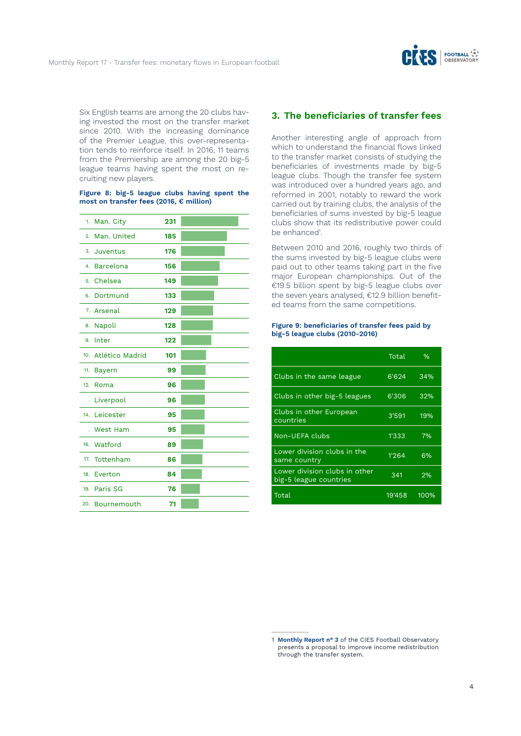

Six English teams are among the 20 clubs having invested the most on the transfer market since 2010. With the increasing dominance of the Premier League, this over-representation tends to reinforce itself. In 2016, 11 teams from the Premiership are among the 20 big-5 league teams having spent the most on recruiting new players.

#### **Figure 8: big-5 league clubs having spent the most on transfer fees (2016, € million)**

| 1.  | Man. City       | 231 |  |
|-----|-----------------|-----|--|
| 2.  | Man. United     | 185 |  |
|     | 3. Juventus     | 176 |  |
|     | 4. Barcelona    | 156 |  |
|     | 5. Chelsea      | 149 |  |
| 6.  | Dortmund        | 133 |  |
|     | 7. Arsenal      | 129 |  |
| 8.  | Napoli          | 128 |  |
| 9.  | Inter           | 122 |  |
| 10. | Atlético Madrid | 101 |  |
| 11. | <b>Bayern</b>   | 99  |  |
| 12. | Roma            | 96  |  |
|     | . Liverpool     | 96  |  |
|     | 14. Leicester   | 95  |  |
|     | . West Ham      | 95  |  |
|     | 16. Watford     | 89  |  |
| 17. | Tottenham       | 86  |  |
| 18. | Everton         | 84  |  |
|     | 19. Paris SG    | 76  |  |
|     | 20. Bournemouth | 71  |  |

# **3. The beneficiaries of transfer fees**

Another interesting angle of approach from which to understand the financial flows linked to the transfer market consists of studying the beneficiaries of investments made by big-5 league clubs. Though the transfer fee system was introduced over a hundred years ago, and reformed in 2001, notably to reward the work carried out by training clubs, the analysis of the beneficiaries of sums invested by big-5 league clubs show that its redistributive power could be enhanced<sup>1</sup>.

Between 2010 and 2016, roughly two thirds of the sums invested by big-5 league clubs were paid out to other teams taking part in the five major European championships. Out of the €19.5 billion spent by big-5 league clubs over the seven years analysed, €12.9 billion benefited teams from the same competitions.

#### **Figure 9: beneficiaries of transfer fees paid by big-5 league clubs (2010-2016)**

|                                                         | Total  | $\%$ |
|---------------------------------------------------------|--------|------|
| Clubs in the same league                                | 6'624  | 34%  |
| Clubs in other big-5 leagues                            | 6'306  | 32%  |
| Clubs in other European<br>countries                    | 3'591  | 19%  |
| Non-UEFA clubs                                          | 1'333  | 7%   |
| Lower division clubs in the<br>same country             | 1'264  | 6%   |
| Lower division clubs in other<br>big-5 league countries | 341    | 2%   |
| Total                                                   | 19'458 | 100% |

<sup>1</sup> **Monthly Report n° 3** of the CIES Football Observatory presents a proposal to improve income redistribution through the transfer system.